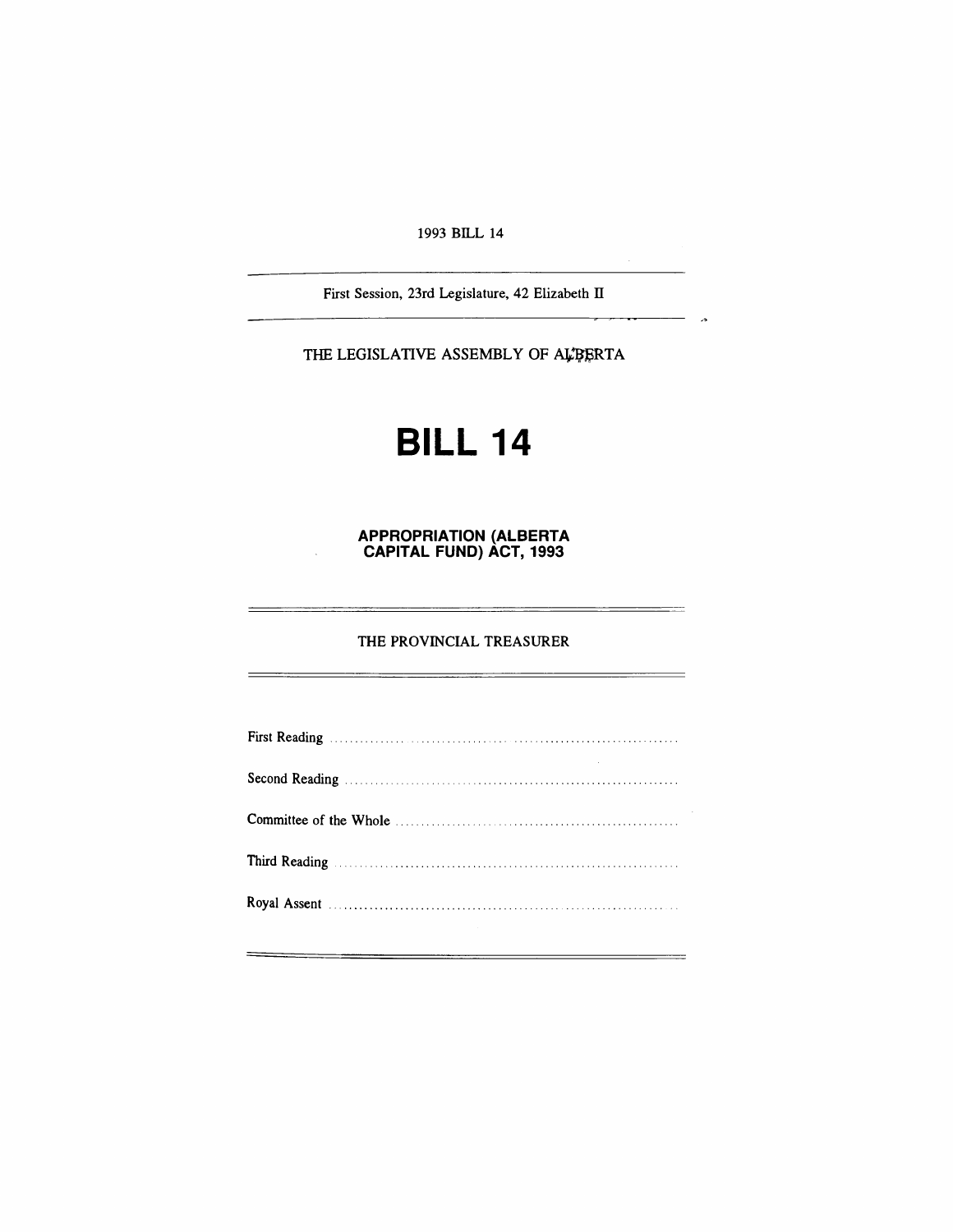### 1993 BILL 14

First Session, 23rd Legislature, 42 Elizabeth IT

 $\sim$ 

THE LEGISLATIVE ASSEMBLY OF ALPERTA

# **BILL 14**

**APPROPRIATION (ALBERTA CAPITAL FUND) ACT, 1993**

#### THE PROVINCIAL TREASURER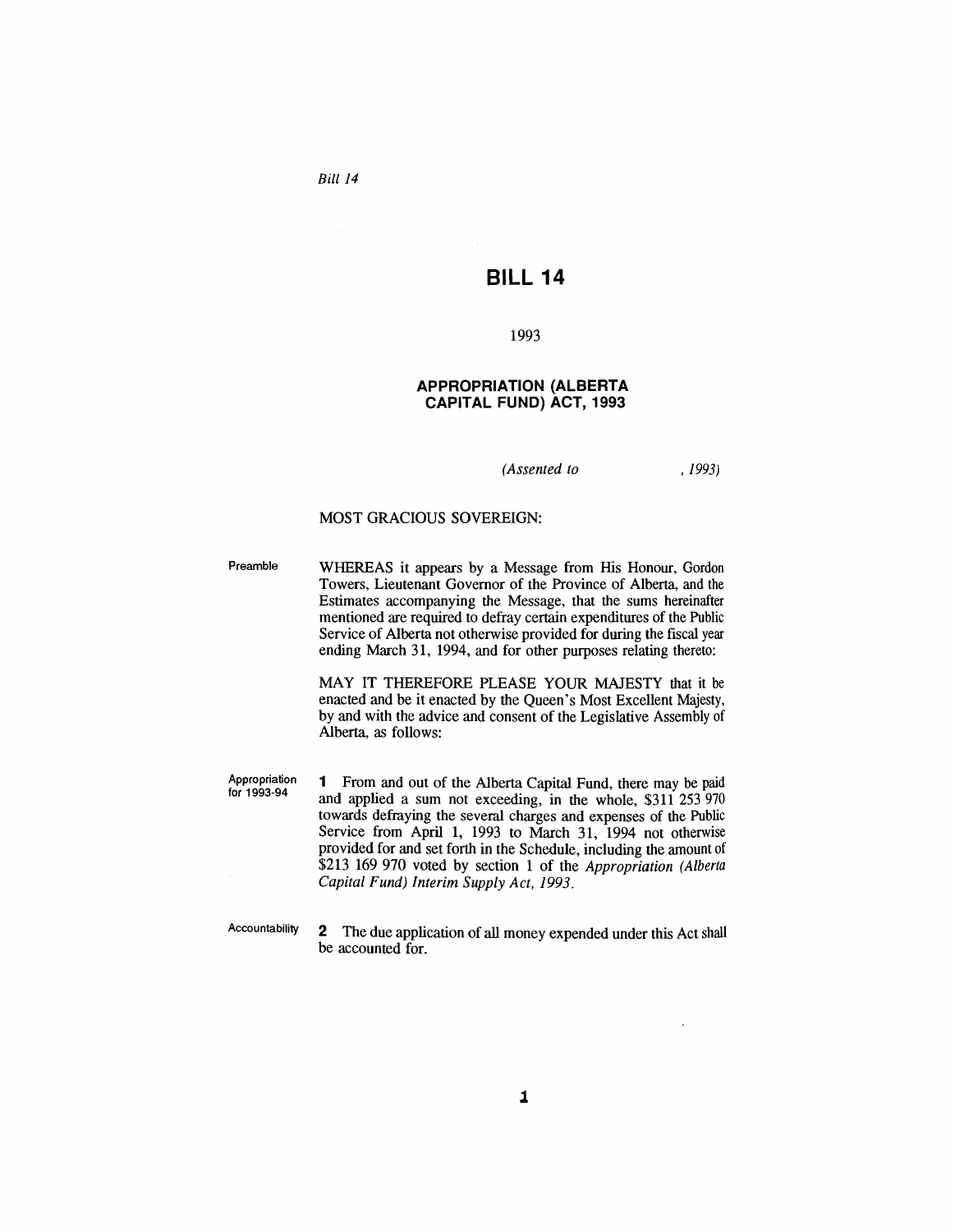*Bill 14*

## **BILL 14**

#### 1993

#### **APPROPRIATION (ALBERTA CAPITAL FUND) ACT, 1993**

*(Assented to*

, 1993)

#### MOST GRACIOUS SOVEREIGN:

Preamble WHEREAS it appears by a Message from His Honour, Gordon Towers, Lieutenant Governor of the Province of Alberta, and the Estimates accompanying the Message, that the sums hereinafter mentioned are required to defray certain expenditures of the Public Service of Alberta not otherwise provided for during the fiscal year ending March 31, 1994, and for other purposes relating thereto:

> MAY IT THEREFORE PLEASE YOUR MAJESTY that it be enacted and be it enacted by the Queen's Most Excellent Majesty, by and with the advice and consent of the Legislative Assembly of Alberta, as follows:

Appropriation for 1993-94

1 From and out of the Alberta Capital Fund, there may be paid and applied a sum not exceeding, in the whole, \$311 253 970 towards defraying the several charges and expenses of the Public Service from April 1, 1993 to March 31, 1994 not otherwise provided for and set forth in the Schedule, including the amount of \$213 169 970 voted by section 1 of the *Appropriation (Alberta Capital Fund) Interim Supply Act, 1993.*

Accountability

2 The due application of all money expended under this Act shall be accounted for.